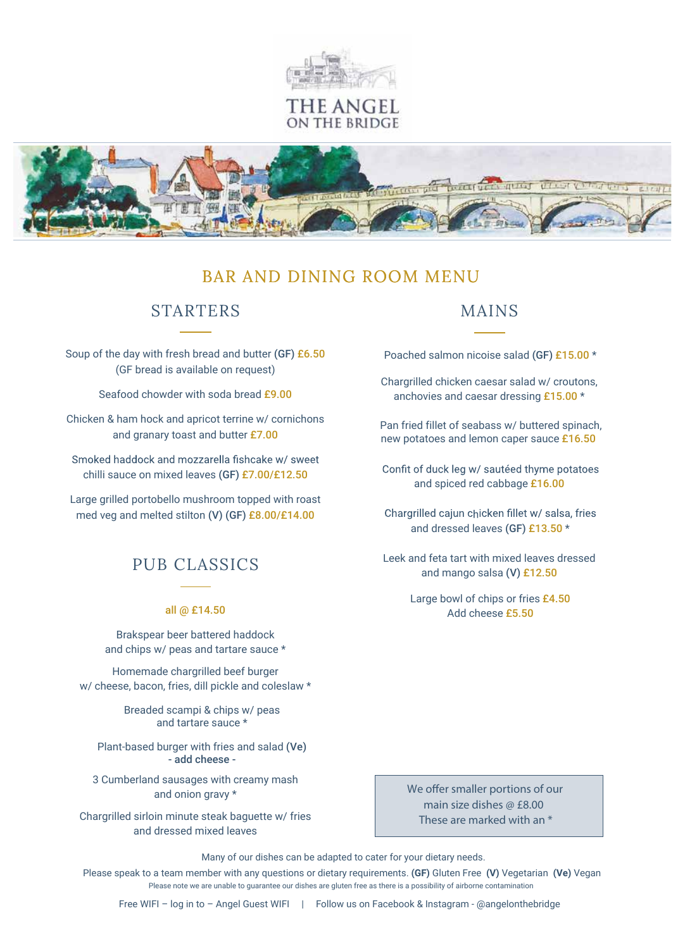

'HE ANGEL ON THE BRIDGE



# BAR AND DINING ROOM MENU

## STARTERS

Soup of the day with fresh bread and butter (GF) £6.50 (GF bread is available on request)

Seafood chowder with soda bread £9.00

Chicken & ham hock and apricot terrine w/ cornichons and granary toast and butter £7.00

Smoked haddock and mozzarella fishcake w/ sweet chilli sauce on mixed leaves (GF) £7.00/£12.50

Large grilled portobello mushroom topped with roast med veg and melted stilton (V) (GF) £8.00/£14.00

# PUB CLASSICS

#### all @ £14.50

Brakspear beer battered haddock and chips w/ peas and tartare sauce \*

Homemade chargrilled beef burger w/ cheese, bacon, fries, dill pickle and coleslaw \*

> Breaded scampi & chips w/ peas and tartare sauce \*

Plant-based burger with fries and salad (Ve) - add cheese -

3 Cumberland sausages with creamy mash and onion gravy \*

Chargrilled sirloin minute steak baguette w/ fries and dressed mixed leaves

## MAINS

Poached salmon nicoise salad (GF) £15.00 \*

Chargrilled chicken caesar salad w/ croutons, anchovies and caesar dressing £15.00 \*

Pan fried fillet of seabass w/ buttered spinach, new potatoes and lemon caper sauce £16.50

Confit of duck leg w/ sautéed thyme potatoes and spiced red cabbage £16.00

Chargrilled cajun chicken fillet w/ salsa, fries and dressed leaves (GF) £13.50 \*

Leek and feta tart with mixed leaves dressed and mango salsa (V) £12.50

> Large bowl of chips or fries £4.50 Add cheese £5.50

We offer smaller portions of our *main size dishes @ £8.00 These are marked with an \**

 Many of our dishes can be adapted to cater for your dietary needs. Please speak to a team member with any questions or dietary requirements. **(GF)** Gluten Free **(V)** Vegetarian **(Ve)** Vegan Please note we are unable to guarantee our dishes are gluten free as there is a possibility of airborne contamination

Free WIFI – log in to – Angel Guest WIFI | Follow us on Facebook & Instagram - @angelonthebridge